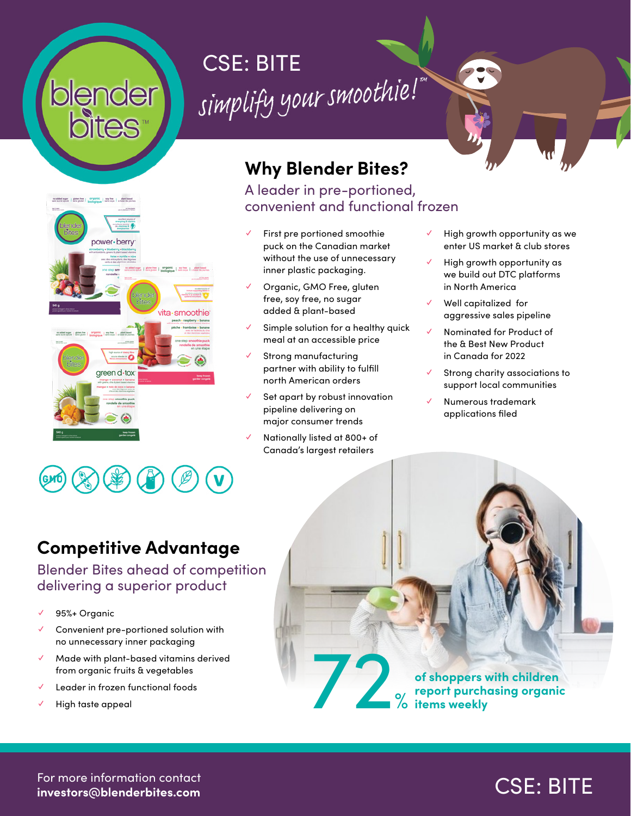# blender



#### **Why Blender Bites?** A leader in pre-portioned,

CSE: BITE<br>simplify your smoothie!

convenient and functional frozen

- First pre portioned smoothie puck on the Canadian market without the use of unnecessary inner plastic packaging.
- Organic, GMO Free, gluten free, soy free, no sugar added & plant-based
- Simple solution for a healthy quick meal at an accessible price
- Strong manufacturing partner with ability to fulfill north American orders
- Set apart by robust innovation pipeline delivering on major consumer trends
- Nationally listed at 800+ of Canada's largest retailers
- High growth opportunity as we enter US market & club stores
- High growth opportunity as we build out DTC platforms in North America
- Well capitalized for aggressive sales pipeline
- ✓ Nominated for Product of the & Best New Product in Canada for 2022
- Strong charity associations to support local communities
- ✓ Numerous trademark applications filed

#### **Competitive Advantage**

#### Blender Bites ahead of competition delivering a superior product

- 95%+ Organic
- Convenient pre-portioned solution with no unnecessary inner packaging
- ✓ Made with plant-based vitamins derived from organic fruits & vegetables V Made with plant-based vitamins derived<br>
from organic fruits & vegetables<br>
√ Leader in frozen functional foods<br>
√ High taste appeal
- Leader in frozen functional foods
- 

**of shoppers with children report purchasing organic items weekly**

For more information contact **investors@blenderbites.com**

### CSE: BITE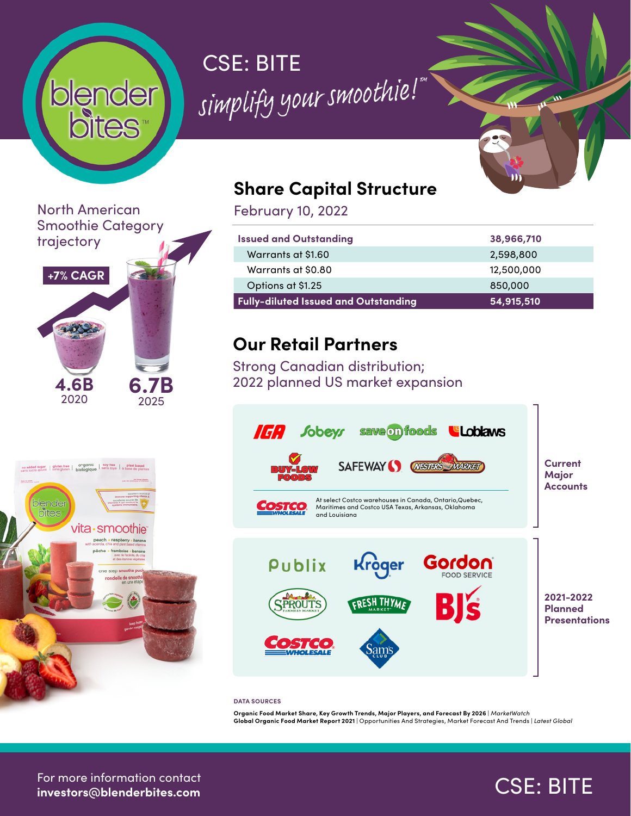# **blender**

## CSE: BITE<br>simplify your smoothie!

North American Smoothie Category trajectory





#### **Share Capital Structure**

February 10, 2022

| <b>Issued and Outstanding</b>               | 38,966,710 |
|---------------------------------------------|------------|
| Warrants at \$1.60                          | 2,598,800  |
| Warrants at \$0.80                          | 12,500,000 |
| Options at \$1.25                           | 850,000    |
| <b>Fully-diluted Issued and Outstanding</b> | 54,915,510 |

#### **Our Retail Partners**

Strong Canadian distribution; 2022 planned US market expansion



#### **DATA SOURCES**

**Organic Food Market Share, Key Growth Trends, Major Players, and Forecast By 2026** | *MarketWatch* **Global Organic Food Market Report 2021** | Opportunities And Strategies, Market Forecast And Trends | *Latest Global*

For more information contact **investors@blenderbites.com**

### CSE: BITE